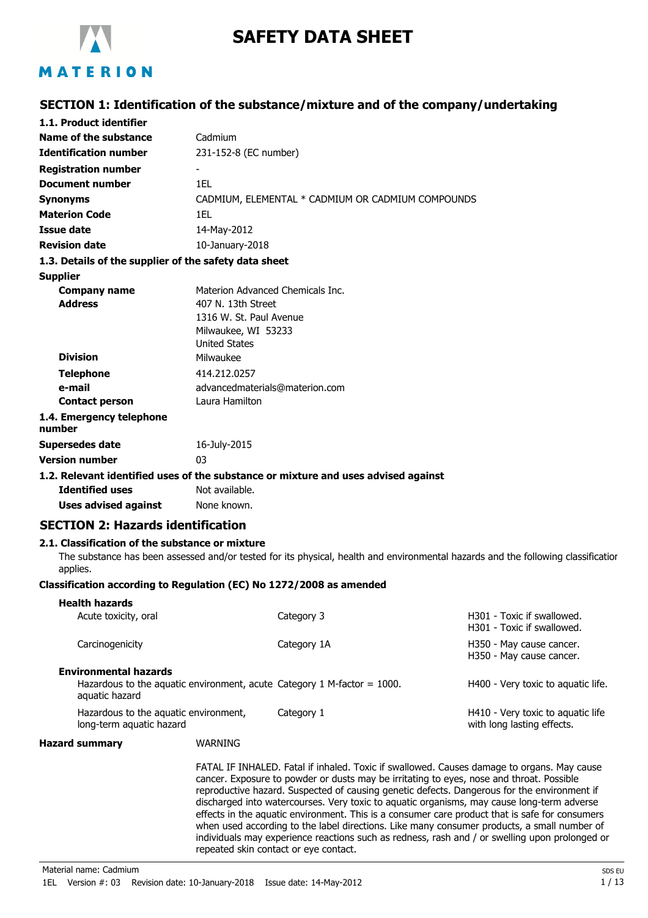

# **SAFETY DATA SHEET**

# **SECTION 1: Identification of the substance/mixture and of the company/undertaking**

| 1.1. Product identifier                                             |                                             |                                                                                    |                                                                                                                                   |
|---------------------------------------------------------------------|---------------------------------------------|------------------------------------------------------------------------------------|-----------------------------------------------------------------------------------------------------------------------------------|
| Name of the substance                                               | Cadmium                                     |                                                                                    |                                                                                                                                   |
| <b>Identification number</b>                                        | 231-152-8 (EC number)                       |                                                                                    |                                                                                                                                   |
| <b>Registration number</b>                                          |                                             |                                                                                    |                                                                                                                                   |
| <b>Document number</b>                                              | 1EL                                         |                                                                                    |                                                                                                                                   |
| <b>Synonyms</b>                                                     |                                             | CADMIUM, ELEMENTAL * CADMIUM OR CADMIUM COMPOUNDS                                  |                                                                                                                                   |
| <b>Materion Code</b>                                                | 1EL                                         |                                                                                    |                                                                                                                                   |
| Issue date                                                          | 14-May-2012                                 |                                                                                    |                                                                                                                                   |
| <b>Revision date</b>                                                | 10-January-2018                             |                                                                                    |                                                                                                                                   |
| 1.3. Details of the supplier of the safety data sheet               |                                             |                                                                                    |                                                                                                                                   |
| <b>Supplier</b>                                                     |                                             |                                                                                    |                                                                                                                                   |
| <b>Company name</b>                                                 |                                             | Materion Advanced Chemicals Inc.                                                   |                                                                                                                                   |
| <b>Address</b>                                                      | 407 N. 13th Street                          |                                                                                    |                                                                                                                                   |
|                                                                     | 1316 W. St. Paul Avenue                     |                                                                                    |                                                                                                                                   |
|                                                                     | Milwaukee, WI 53233<br><b>United States</b> |                                                                                    |                                                                                                                                   |
| <b>Division</b>                                                     | Milwaukee                                   |                                                                                    |                                                                                                                                   |
| <b>Telephone</b>                                                    | 414.212.0257                                |                                                                                    |                                                                                                                                   |
| e-mail                                                              |                                             | advancedmaterials@materion.com                                                     |                                                                                                                                   |
| <b>Contact person</b>                                               | Laura Hamilton                              |                                                                                    |                                                                                                                                   |
| 1.4. Emergency telephone                                            |                                             |                                                                                    |                                                                                                                                   |
| number                                                              |                                             |                                                                                    |                                                                                                                                   |
| <b>Supersedes date</b>                                              | 16-July-2015                                |                                                                                    |                                                                                                                                   |
| <b>Version number</b>                                               | 03                                          |                                                                                    |                                                                                                                                   |
|                                                                     |                                             | 1.2. Relevant identified uses of the substance or mixture and uses advised against |                                                                                                                                   |
| <b>Identified uses</b>                                              | Not available.                              |                                                                                    |                                                                                                                                   |
| <b>Uses advised against</b>                                         | None known.                                 |                                                                                    |                                                                                                                                   |
| <b>SECTION 2: Hazards identification</b>                            |                                             |                                                                                    |                                                                                                                                   |
| 2.1. Classification of the substance or mixture                     |                                             |                                                                                    |                                                                                                                                   |
| applies.                                                            |                                             |                                                                                    | The substance has been assessed and/or tested for its physical, health and environmental hazards and the following classificatior |
| Classification according to Regulation (EC) No 1272/2008 as amended |                                             |                                                                                    |                                                                                                                                   |
| <b>Health hazards</b>                                               |                                             |                                                                                    |                                                                                                                                   |
| Acute toxicity, oral                                                |                                             | Category 3                                                                         | H301 - Toxic if swallowed.<br>H301 - Toxic if swallowed.                                                                          |
| Carcinogenicity                                                     |                                             | Category 1A                                                                        | H350 - May cause cancer.<br>H350 - May cause cancer.                                                                              |
| <b>Environmental hazards</b>                                        |                                             |                                                                                    |                                                                                                                                   |
| aquatic hazard                                                      |                                             | Hazardous to the aquatic environment, acute Category 1 M-factor $= 1000$ .         | H400 - Very toxic to aquatic life.                                                                                                |
| Hazardous to the aquatic environment,<br>long-term aquatic hazard   |                                             | Category 1                                                                         | H410 - Very toxic to aquatic life<br>with long lasting effects.                                                                   |

ry toxic to aquatic life with long lasting effects.

#### **Hazard summary** WARNING

FATAL IF INHALED. Fatal if inhaled. Toxic if swallowed. Causes damage to organs. May cause cancer. Exposure to powder or dusts may be irritating to eyes, nose and throat. Possible reproductive hazard. Suspected of causing genetic defects. Dangerous for the environment if discharged into watercourses. Very toxic to aquatic organisms, may cause long-term adverse effects in the aquatic environment. This is a consumer care product that is safe for consumers when used according to the label directions. Like many consumer products, a small number of individuals may experience reactions such as redness, rash and / or swelling upon prolonged or repeated skin contact or eye contact.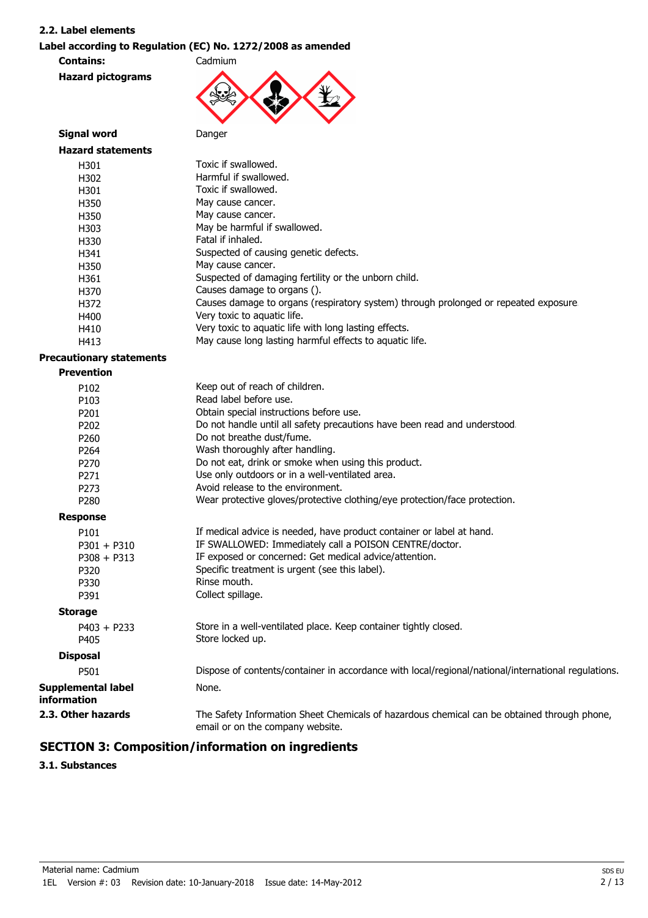#### **2.2. Label elements**

### **Label according to Regulation (EC) No. 1272/2008 as amended**

**Contains:** Cadmium **Hazard pictograms**



| <b>Signal word</b>              | Danger                                                                                                                          |
|---------------------------------|---------------------------------------------------------------------------------------------------------------------------------|
| <b>Hazard statements</b>        |                                                                                                                                 |
| H301                            | Toxic if swallowed.                                                                                                             |
| H302                            | Harmful if swallowed.                                                                                                           |
| H301                            | Toxic if swallowed.                                                                                                             |
| H350                            | May cause cancer.                                                                                                               |
| H350                            | May cause cancer.                                                                                                               |
| H303                            | May be harmful if swallowed.                                                                                                    |
| H330                            | Fatal if inhaled.                                                                                                               |
| H341                            | Suspected of causing genetic defects.                                                                                           |
| H350                            | May cause cancer.                                                                                                               |
| H361                            | Suspected of damaging fertility or the unborn child.                                                                            |
| H370                            | Causes damage to organs ().                                                                                                     |
| H372                            | Causes damage to organs (respiratory system) through prolonged or repeated exposure                                             |
| H400                            | Very toxic to aquatic life.                                                                                                     |
| H410                            | Very toxic to aquatic life with long lasting effects.                                                                           |
| H413                            | May cause long lasting harmful effects to aquatic life.                                                                         |
| <b>Precautionary statements</b> |                                                                                                                                 |
| <b>Prevention</b>               |                                                                                                                                 |
| P102                            | Keep out of reach of children.                                                                                                  |
| P103                            | Read label before use.                                                                                                          |
| P201                            | Obtain special instructions before use.                                                                                         |
| P202                            | Do not handle until all safety precautions have been read and understood.                                                       |
| P260                            | Do not breathe dust/fume.                                                                                                       |
| P264                            | Wash thoroughly after handling.                                                                                                 |
| P270                            | Do not eat, drink or smoke when using this product.                                                                             |
| P271                            | Use only outdoors or in a well-ventilated area.                                                                                 |
| P273                            | Avoid release to the environment.                                                                                               |
| P280                            | Wear protective gloves/protective clothing/eye protection/face protection.                                                      |
| <b>Response</b>                 |                                                                                                                                 |
| P101                            | If medical advice is needed, have product container or label at hand.                                                           |
| $P301 + P310$                   | IF SWALLOWED: Immediately call a POISON CENTRE/doctor.                                                                          |
| $P308 + P313$                   | IF exposed or concerned: Get medical advice/attention.                                                                          |
| P320                            | Specific treatment is urgent (see this label).                                                                                  |
| P330                            | Rinse mouth.                                                                                                                    |
| P391                            | Collect spillage.                                                                                                               |
| <b>Storage</b>                  |                                                                                                                                 |
| $P403 + P233$                   | Store in a well-ventilated place. Keep container tightly closed.                                                                |
| P405                            | Store locked up.                                                                                                                |
| <b>Disposal</b>                 |                                                                                                                                 |
| P501                            | Dispose of contents/container in accordance with local/regional/national/international regulations.                             |
| <b>Supplemental label</b>       | None.                                                                                                                           |
| information                     |                                                                                                                                 |
| 2.3. Other hazards              | The Safety Information Sheet Chemicals of hazardous chemical can be obtained through phone,<br>email or on the company website. |

# **SECTION 3: Composition/information on ingredients**

**3.1. Substances**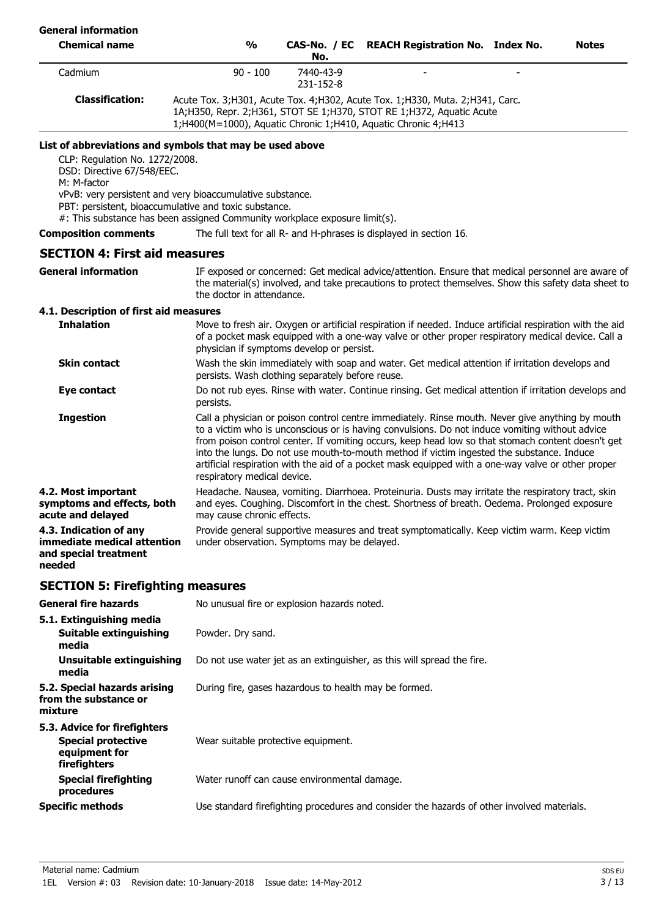| <b>General information</b>                                                                                                                                                                                                                                    |                                                       |                                                                                                                                                                                                                                                                                                                                                                                                                                                                                                            |                                                                                                                                                                                                                        |  |              |  |  |  |
|---------------------------------------------------------------------------------------------------------------------------------------------------------------------------------------------------------------------------------------------------------------|-------------------------------------------------------|------------------------------------------------------------------------------------------------------------------------------------------------------------------------------------------------------------------------------------------------------------------------------------------------------------------------------------------------------------------------------------------------------------------------------------------------------------------------------------------------------------|------------------------------------------------------------------------------------------------------------------------------------------------------------------------------------------------------------------------|--|--------------|--|--|--|
| <b>Chemical name</b>                                                                                                                                                                                                                                          | $\frac{0}{0}$                                         | CAS-No. / EC<br>No.                                                                                                                                                                                                                                                                                                                                                                                                                                                                                        | <b>REACH Registration No. Index No.</b>                                                                                                                                                                                |  | <b>Notes</b> |  |  |  |
| Cadmium                                                                                                                                                                                                                                                       | $90 - 100$                                            | 7440-43-9<br>231-152-8                                                                                                                                                                                                                                                                                                                                                                                                                                                                                     |                                                                                                                                                                                                                        |  |              |  |  |  |
| <b>Classification:</b>                                                                                                                                                                                                                                        |                                                       |                                                                                                                                                                                                                                                                                                                                                                                                                                                                                                            | Acute Tox. 3;H301, Acute Tox. 4;H302, Acute Tox. 1;H330, Muta. 2;H341, Carc.<br>1A;H350, Repr. 2;H361, STOT SE 1;H370, STOT RE 1;H372, Aquatic Acute<br>1;H400(M=1000), Aquatic Chronic 1;H410, Aquatic Chronic 4;H413 |  |              |  |  |  |
| List of abbreviations and symbols that may be used above<br>CLP: Regulation No. 1272/2008.<br>DSD: Directive 67/548/EEC.<br>M: M-factor<br>vPvB: very persistent and very bioaccumulative substance.<br>PBT: persistent, bioaccumulative and toxic substance. |                                                       |                                                                                                                                                                                                                                                                                                                                                                                                                                                                                                            |                                                                                                                                                                                                                        |  |              |  |  |  |
| #: This substance has been assigned Community workplace exposure limit(s).                                                                                                                                                                                    |                                                       |                                                                                                                                                                                                                                                                                                                                                                                                                                                                                                            |                                                                                                                                                                                                                        |  |              |  |  |  |
| <b>Composition comments</b>                                                                                                                                                                                                                                   |                                                       |                                                                                                                                                                                                                                                                                                                                                                                                                                                                                                            | The full text for all R- and H-phrases is displayed in section 16.                                                                                                                                                     |  |              |  |  |  |
| <b>SECTION 4: First aid measures</b>                                                                                                                                                                                                                          |                                                       |                                                                                                                                                                                                                                                                                                                                                                                                                                                                                                            |                                                                                                                                                                                                                        |  |              |  |  |  |
| <b>General information</b>                                                                                                                                                                                                                                    | the doctor in attendance.                             |                                                                                                                                                                                                                                                                                                                                                                                                                                                                                                            | IF exposed or concerned: Get medical advice/attention. Ensure that medical personnel are aware of<br>the material(s) involved, and take precautions to protect themselves. Show this safety data sheet to              |  |              |  |  |  |
| 4.1. Description of first aid measures<br><b>Inhalation</b>                                                                                                                                                                                                   | physician if symptoms develop or persist.             |                                                                                                                                                                                                                                                                                                                                                                                                                                                                                                            | Move to fresh air. Oxygen or artificial respiration if needed. Induce artificial respiration with the aid<br>of a pocket mask equipped with a one-way valve or other proper respiratory medical device. Call a         |  |              |  |  |  |
| <b>Skin contact</b>                                                                                                                                                                                                                                           | persists. Wash clothing separately before reuse.      |                                                                                                                                                                                                                                                                                                                                                                                                                                                                                                            | Wash the skin immediately with soap and water. Get medical attention if irritation develops and                                                                                                                        |  |              |  |  |  |
| Eye contact                                                                                                                                                                                                                                                   | persists.                                             |                                                                                                                                                                                                                                                                                                                                                                                                                                                                                                            | Do not rub eyes. Rinse with water. Continue rinsing. Get medical attention if irritation develops and                                                                                                                  |  |              |  |  |  |
| <b>Ingestion</b>                                                                                                                                                                                                                                              | respiratory medical device.                           | Call a physician or poison control centre immediately. Rinse mouth. Never give anything by mouth<br>to a victim who is unconscious or is having convulsions. Do not induce vomiting without advice<br>from poison control center. If vomiting occurs, keep head low so that stomach content doesn't get<br>into the lungs. Do not use mouth-to-mouth method if victim ingested the substance. Induce<br>artificial respiration with the aid of a pocket mask equipped with a one-way valve or other proper |                                                                                                                                                                                                                        |  |              |  |  |  |
| 4.2. Most important<br>symptoms and effects, both<br>acute and delayed                                                                                                                                                                                        | may cause chronic effects.                            |                                                                                                                                                                                                                                                                                                                                                                                                                                                                                                            | Headache. Nausea, vomiting. Diarrhoea. Proteinuria. Dusts may irritate the respiratory tract, skin<br>and eyes. Coughing. Discomfort in the chest. Shortness of breath. Oedema. Prolonged exposure                     |  |              |  |  |  |
| 4.3. Indication of any<br>immediate medical attention<br>and special treatment<br>needed                                                                                                                                                                      | under observation. Symptoms may be delayed.           |                                                                                                                                                                                                                                                                                                                                                                                                                                                                                                            | Provide general supportive measures and treat symptomatically. Keep victim warm. Keep victim                                                                                                                           |  |              |  |  |  |
| <b>SECTION 5: Firefighting measures</b>                                                                                                                                                                                                                       |                                                       |                                                                                                                                                                                                                                                                                                                                                                                                                                                                                                            |                                                                                                                                                                                                                        |  |              |  |  |  |
| <b>General fire hazards</b>                                                                                                                                                                                                                                   | No unusual fire or explosion hazards noted.           |                                                                                                                                                                                                                                                                                                                                                                                                                                                                                                            |                                                                                                                                                                                                                        |  |              |  |  |  |
| 5.1. Extinguishing media<br>Suitable extinguishing<br>media                                                                                                                                                                                                   | Powder. Dry sand.                                     |                                                                                                                                                                                                                                                                                                                                                                                                                                                                                                            |                                                                                                                                                                                                                        |  |              |  |  |  |
| Unsuitable extinguishing<br>media                                                                                                                                                                                                                             |                                                       |                                                                                                                                                                                                                                                                                                                                                                                                                                                                                                            | Do not use water jet as an extinguisher, as this will spread the fire.                                                                                                                                                 |  |              |  |  |  |
| 5.2. Special hazards arising<br>from the substance or<br>mixture                                                                                                                                                                                              | During fire, gases hazardous to health may be formed. |                                                                                                                                                                                                                                                                                                                                                                                                                                                                                                            |                                                                                                                                                                                                                        |  |              |  |  |  |
| 5.3. Advice for firefighters<br><b>Special protective</b><br>equipment for<br>firefighters                                                                                                                                                                    | Wear suitable protective equipment.                   |                                                                                                                                                                                                                                                                                                                                                                                                                                                                                                            |                                                                                                                                                                                                                        |  |              |  |  |  |
| <b>Special firefighting</b><br>procedures                                                                                                                                                                                                                     | Water runoff can cause environmental damage.          |                                                                                                                                                                                                                                                                                                                                                                                                                                                                                                            |                                                                                                                                                                                                                        |  |              |  |  |  |
| <b>Specific methods</b>                                                                                                                                                                                                                                       |                                                       |                                                                                                                                                                                                                                                                                                                                                                                                                                                                                                            | Use standard firefighting procedures and consider the hazards of other involved materials.                                                                                                                             |  |              |  |  |  |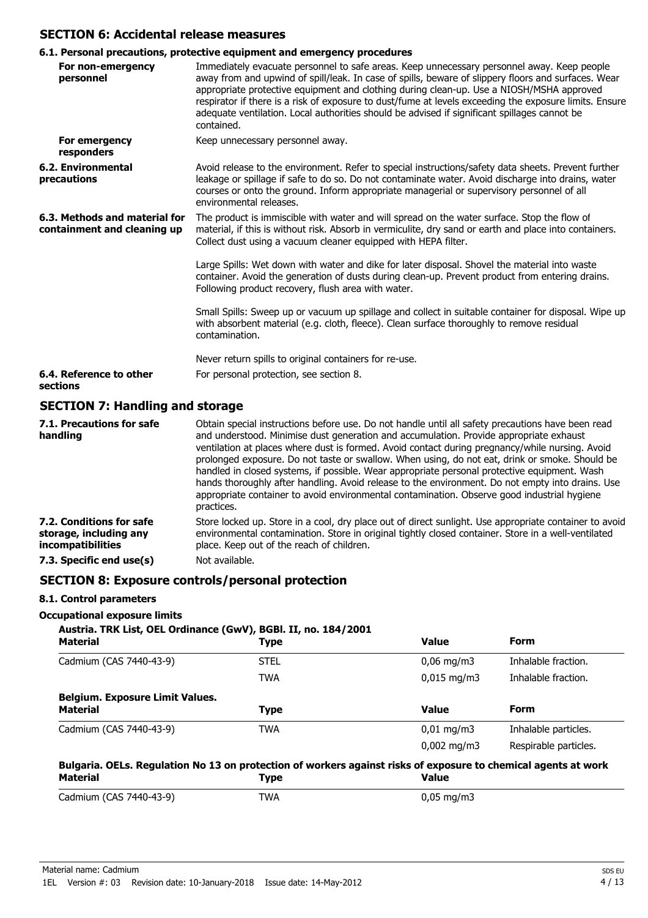# **SECTION 6: Accidental release measures**

# **6.1. Personal precautions, protective equipment and emergency procedures**

|                                                              | v.1. reisonal precautions, protective equipment and emergency procedures                                                                                                                                                                                                                                                                                                                                                                                                                                                                                                                             |  |  |  |  |
|--------------------------------------------------------------|------------------------------------------------------------------------------------------------------------------------------------------------------------------------------------------------------------------------------------------------------------------------------------------------------------------------------------------------------------------------------------------------------------------------------------------------------------------------------------------------------------------------------------------------------------------------------------------------------|--|--|--|--|
| For non-emergency<br>personnel                               | Immediately evacuate personnel to safe areas. Keep unnecessary personnel away. Keep people<br>away from and upwind of spill/leak. In case of spills, beware of slippery floors and surfaces. Wear<br>appropriate protective equipment and clothing during clean-up. Use a NIOSH/MSHA approved<br>respirator if there is a risk of exposure to dust/fume at levels exceeding the exposure limits. Ensure<br>adequate ventilation. Local authorities should be advised if significant spillages cannot be<br>contained.                                                                                |  |  |  |  |
| For emergency<br>responders                                  | Keep unnecessary personnel away.                                                                                                                                                                                                                                                                                                                                                                                                                                                                                                                                                                     |  |  |  |  |
| <b>6.2. Environmental</b><br>precautions                     | Avoid release to the environment. Refer to special instructions/safety data sheets. Prevent further<br>leakage or spillage if safe to do so. Do not contaminate water. Avoid discharge into drains, water<br>courses or onto the ground. Inform appropriate managerial or supervisory personnel of all<br>environmental releases.                                                                                                                                                                                                                                                                    |  |  |  |  |
| 6.3. Methods and material for<br>containment and cleaning up | The product is immiscible with water and will spread on the water surface. Stop the flow of<br>material, if this is without risk. Absorb in vermiculite, dry sand or earth and place into containers.<br>Collect dust using a vacuum cleaner equipped with HEPA filter.                                                                                                                                                                                                                                                                                                                              |  |  |  |  |
|                                                              | Large Spills: Wet down with water and dike for later disposal. Shovel the material into waste<br>container. Avoid the generation of dusts during clean-up. Prevent product from entering drains.<br>Following product recovery, flush area with water.                                                                                                                                                                                                                                                                                                                                               |  |  |  |  |
|                                                              | Small Spills: Sweep up or vacuum up spillage and collect in suitable container for disposal. Wipe up<br>with absorbent material (e.g. cloth, fleece). Clean surface thoroughly to remove residual<br>contamination.                                                                                                                                                                                                                                                                                                                                                                                  |  |  |  |  |
|                                                              | Never return spills to original containers for re-use.                                                                                                                                                                                                                                                                                                                                                                                                                                                                                                                                               |  |  |  |  |
| 6.4. Reference to other<br>sections                          | For personal protection, see section 8.                                                                                                                                                                                                                                                                                                                                                                                                                                                                                                                                                              |  |  |  |  |
| <b>SECTION 7: Handling and storage</b>                       |                                                                                                                                                                                                                                                                                                                                                                                                                                                                                                                                                                                                      |  |  |  |  |
| 7.1. Precautions for safe<br>handling                        | Obtain special instructions before use. Do not handle until all safety precautions have been read<br>and understood. Minimise dust generation and accumulation. Provide appropriate exhaust<br>ventilation at places where dust is formed. Avoid contact during pregnancy/while nursing. Avoid<br>prolonged exposure. Do not taste or swallow. When using, do not eat, drink or smoke. Should be<br>handled in closed systems, if possible. Wear appropriate personal protective equipment. Wash<br>hands thoroughly after handling. Avoid release to the environment. Do not empty into drains. Use |  |  |  |  |

|                                                                         | appropriate container to avoid environmental contamination. Observe good industrial hygiene<br>practices.                                                                                                                                                  |
|-------------------------------------------------------------------------|------------------------------------------------------------------------------------------------------------------------------------------------------------------------------------------------------------------------------------------------------------|
| 7.2. Conditions for safe<br>storage, including any<br>incompatibilities | Store locked up. Store in a cool, dry place out of direct sunlight. Use appropriate container to avoid<br>environmental contamination. Store in original tightly closed container. Store in a well-ventilated<br>place. Keep out of the reach of children. |
| 7.3. Specific end use(s)                                                | Not available.                                                                                                                                                                                                                                             |

# **SECTION 8: Exposure controls/personal protection**

### **8.1. Control parameters**

# **Occupational exposure limits**

| Austria. TRK List, OEL Ordinance (GwV), BGBI. II, no. 184/2001<br><b>Material</b> | Type        | <b>Value</b>            | Form                  |
|-----------------------------------------------------------------------------------|-------------|-------------------------|-----------------------|
| Cadmium (CAS 7440-43-9)                                                           | <b>STEL</b> | $0.06 \,\mathrm{mq/m}$  | Inhalable fraction.   |
|                                                                                   | <b>TWA</b>  | $0.015 \text{ mg/m}$    | Inhalable fraction.   |
| <b>Belgium. Exposure Limit Values.</b><br><b>Material</b>                         | <b>Type</b> | <b>Value</b>            | Form                  |
| Cadmium (CAS 7440-43-9)                                                           | TWA         | $0.01 \,\mathrm{mq/m}$  | Inhalable particles.  |
|                                                                                   |             | $0,002 \,\mathrm{mg/m}$ | Respirable particles. |

| Purgular OLLS, Regulation ito 19 on protection or workers against hisks or exposure to chemical agents at work<br>Material | Tvpe       | Value                  |
|----------------------------------------------------------------------------------------------------------------------------|------------|------------------------|
| Cadmium (CAS 7440-43-9)                                                                                                    | <b>TWA</b> | $0,05 \,\mathrm{mg/m}$ |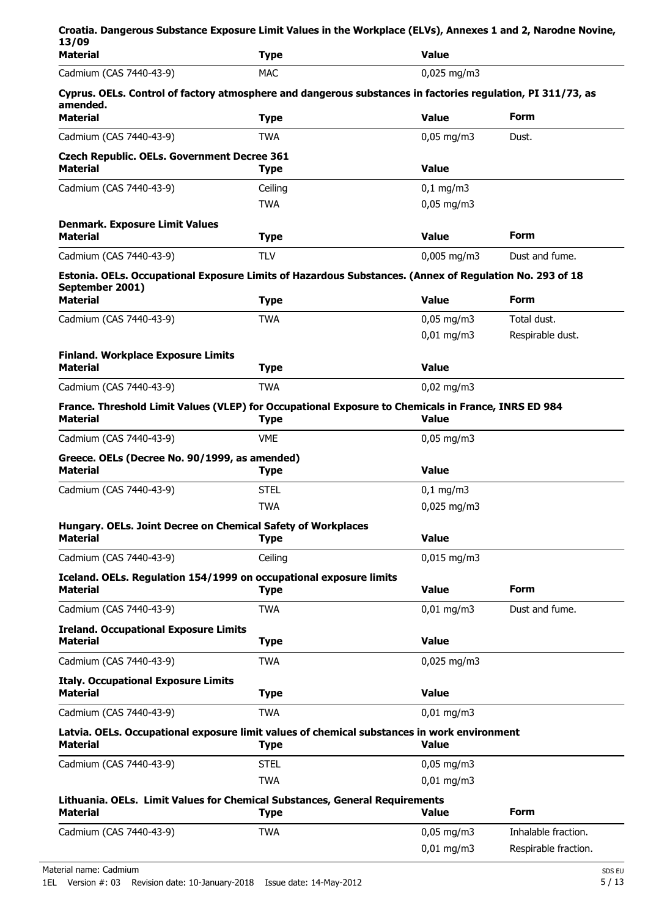| 13/09                                                                           | Croatia. Dangerous Substance Exposure Limit Values in the Workplace (ELVs), Annexes 1 and 2, Narodne Novine,               |                        |                      |
|---------------------------------------------------------------------------------|----------------------------------------------------------------------------------------------------------------------------|------------------------|----------------------|
| <b>Material</b>                                                                 | <b>Type</b>                                                                                                                | <b>Value</b>           |                      |
| Cadmium (CAS 7440-43-9)                                                         | <b>MAC</b>                                                                                                                 | $0,025$ mg/m3          |                      |
| amended.<br><b>Material</b>                                                     | Cyprus. OELs. Control of factory atmosphere and dangerous substances in factories regulation, PI 311/73, as<br><b>Type</b> | <b>Value</b>           | <b>Form</b>          |
| Cadmium (CAS 7440-43-9)                                                         | <b>TWA</b>                                                                                                                 | $0,05 \text{ mg/m}$ 3  | Dust.                |
| <b>Czech Republic. OELs. Government Decree 361</b>                              |                                                                                                                            |                        |                      |
| <b>Material</b>                                                                 | <b>Type</b>                                                                                                                | <b>Value</b>           |                      |
| Cadmium (CAS 7440-43-9)                                                         | Ceiling                                                                                                                    | $0,1$ mg/m3            |                      |
|                                                                                 | <b>TWA</b>                                                                                                                 | $0,05$ mg/m3           |                      |
| <b>Denmark. Exposure Limit Values</b><br><b>Material</b>                        | <b>Type</b>                                                                                                                | <b>Value</b>           | Form                 |
| Cadmium (CAS 7440-43-9)                                                         | <b>TLV</b>                                                                                                                 | $0,005$ mg/m3          | Dust and fume.       |
|                                                                                 | Estonia. OELs. Occupational Exposure Limits of Hazardous Substances. (Annex of Regulation No. 293 of 18                    |                        |                      |
| September 2001)<br><b>Material</b>                                              | <b>Type</b>                                                                                                                | <b>Value</b>           | Form                 |
| Cadmium (CAS 7440-43-9)                                                         | <b>TWA</b>                                                                                                                 | $0,05 \,\mathrm{mg/m}$ | Total dust.          |
|                                                                                 |                                                                                                                            | $0,01 \text{ mg/m}$ 3  | Respirable dust.     |
| <b>Finland. Workplace Exposure Limits</b><br><b>Material</b>                    | <b>Type</b>                                                                                                                | <b>Value</b>           |                      |
| Cadmium (CAS 7440-43-9)                                                         | <b>TWA</b>                                                                                                                 | $0,02$ mg/m3           |                      |
| <b>Material</b>                                                                 | France. Threshold Limit Values (VLEP) for Occupational Exposure to Chemicals in France, INRS ED 984<br><b>Type</b>         | <b>Value</b>           |                      |
| Cadmium (CAS 7440-43-9)                                                         | <b>VME</b>                                                                                                                 | $0,05 \,\mathrm{mg/m}$ |                      |
| Greece. OELs (Decree No. 90/1999, as amended)<br><b>Material</b>                | <b>Type</b>                                                                                                                | <b>Value</b>           |                      |
| Cadmium (CAS 7440-43-9)                                                         | <b>STEL</b>                                                                                                                | $0,1$ mg/m3            |                      |
|                                                                                 | <b>TWA</b>                                                                                                                 | 0,025 mg/m3            |                      |
| Hungary. OELs. Joint Decree on Chemical Safety of Workplaces<br><b>Material</b> | <b>Type</b>                                                                                                                | <b>Value</b>           |                      |
| Cadmium (CAS 7440-43-9)                                                         | Ceiling                                                                                                                    | $0,015$ mg/m3          |                      |
| <b>Material</b>                                                                 | Iceland. OELs. Regulation 154/1999 on occupational exposure limits<br><b>Type</b>                                          | <b>Value</b>           | Form                 |
| Cadmium (CAS 7440-43-9)                                                         | <b>TWA</b>                                                                                                                 | $0,01$ mg/m3           | Dust and fume.       |
| <b>Ireland. Occupational Exposure Limits</b><br><b>Material</b>                 | <b>Type</b>                                                                                                                | <b>Value</b>           |                      |
| Cadmium (CAS 7440-43-9)                                                         | <b>TWA</b>                                                                                                                 | $0,025$ mg/m3          |                      |
| <b>Italy. Occupational Exposure Limits</b><br><b>Material</b>                   | <b>Type</b>                                                                                                                | <b>Value</b>           |                      |
| Cadmium (CAS 7440-43-9)                                                         | <b>TWA</b>                                                                                                                 | $0,01$ mg/m3           |                      |
| <b>Material</b>                                                                 | Latvia. OELs. Occupational exposure limit values of chemical substances in work environment<br><b>Type</b>                 | <b>Value</b>           |                      |
| Cadmium (CAS 7440-43-9)                                                         | <b>STEL</b>                                                                                                                | $0,05$ mg/m3           |                      |
|                                                                                 | <b>TWA</b>                                                                                                                 | $0,01$ mg/m3           |                      |
| <b>Material</b>                                                                 | Lithuania. OELs. Limit Values for Chemical Substances, General Requirements<br><b>Type</b>                                 | <b>Value</b>           | Form                 |
| Cadmium (CAS 7440-43-9)                                                         | <b>TWA</b>                                                                                                                 | $0,05$ mg/m3           | Inhalable fraction.  |
|                                                                                 |                                                                                                                            | $0,01$ mg/m3           | Respirable fraction. |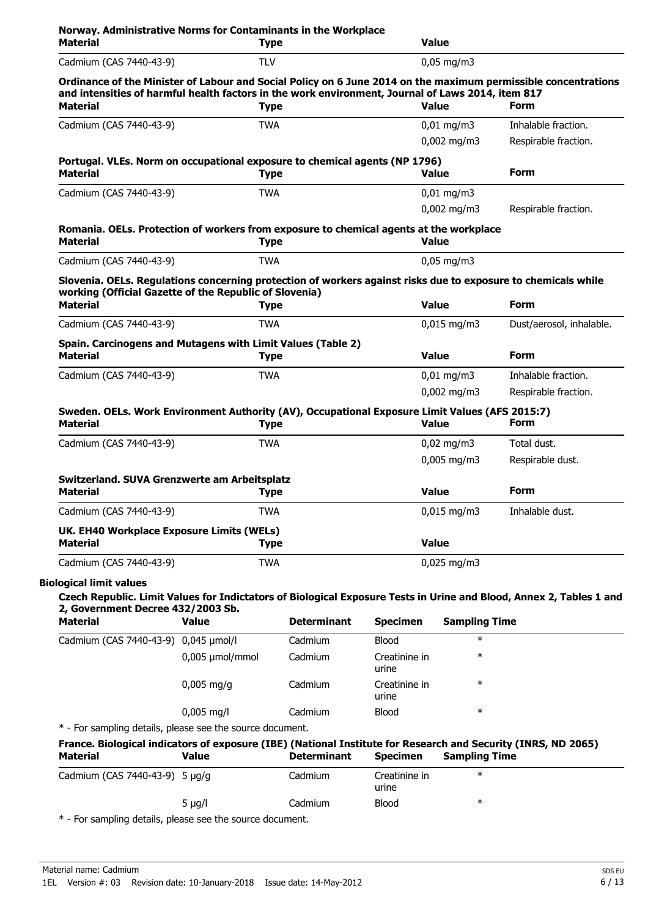| <b>Material</b>                                                                                                                                                                                                     | <b>Type</b>       |                    |                        | <b>Value</b>           |                          |
|---------------------------------------------------------------------------------------------------------------------------------------------------------------------------------------------------------------------|-------------------|--------------------|------------------------|------------------------|--------------------------|
| Cadmium (CAS 7440-43-9)                                                                                                                                                                                             | <b>TLV</b>        |                    |                        | $0,05$ mg/m3           |                          |
| Ordinance of the Minister of Labour and Social Policy on 6 June 2014 on the maximum permissible concentrations<br>and intensities of harmful health factors in the work environment, Journal of Laws 2014, item 817 |                   |                    |                        |                        |                          |
| <b>Material</b>                                                                                                                                                                                                     | <b>Type</b>       |                    |                        | <b>Value</b>           | <b>Form</b>              |
| Cadmium (CAS 7440-43-9)                                                                                                                                                                                             | <b>TWA</b>        |                    |                        | $0,01$ mg/m3           | Inhalable fraction.      |
|                                                                                                                                                                                                                     |                   |                    |                        | $0,002 \text{ mg/m}$ 3 | Respirable fraction.     |
| Portugal. VLEs. Norm on occupational exposure to chemical agents (NP 1796)                                                                                                                                          |                   |                    |                        |                        |                          |
| <b>Material</b>                                                                                                                                                                                                     | <b>Type</b>       |                    |                        | <b>Value</b>           | <b>Form</b>              |
| Cadmium (CAS 7440-43-9)                                                                                                                                                                                             | <b>TWA</b>        |                    |                        | $0,01$ mg/m3           |                          |
|                                                                                                                                                                                                                     |                   |                    |                        | $0,002$ mg/m3          | Respirable fraction.     |
| Romania. OELs. Protection of workers from exposure to chemical agents at the workplace<br><b>Material</b>                                                                                                           | <b>Type</b>       |                    |                        | <b>Value</b>           |                          |
| Cadmium (CAS 7440-43-9)                                                                                                                                                                                             | <b>TWA</b>        |                    |                        | $0,05$ mg/m3           |                          |
| Slovenia. OELs. Regulations concerning protection of workers against risks due to exposure to chemicals while                                                                                                       |                   |                    |                        |                        |                          |
| working (Official Gazette of the Republic of Slovenia)                                                                                                                                                              |                   |                    |                        |                        |                          |
| <b>Material</b>                                                                                                                                                                                                     | <b>Type</b>       |                    |                        | <b>Value</b>           | <b>Form</b>              |
| Cadmium (CAS 7440-43-9)                                                                                                                                                                                             | <b>TWA</b>        |                    |                        | $0,015$ mg/m3          | Dust/aerosol, inhalable. |
| Spain. Carcinogens and Mutagens with Limit Values (Table 2)<br><b>Material</b>                                                                                                                                      | <b>Type</b>       |                    |                        | <b>Value</b>           | <b>Form</b>              |
| Cadmium (CAS 7440-43-9)                                                                                                                                                                                             | <b>TWA</b>        |                    |                        | $0,01$ mg/m3           | Inhalable fraction.      |
|                                                                                                                                                                                                                     |                   |                    |                        | $0,002$ mg/m3          | Respirable fraction.     |
| Sweden. OELs. Work Environment Authority (AV), Occupational Exposure Limit Values (AFS 2015:7)<br><b>Material</b>                                                                                                   | <b>Type</b>       |                    |                        | <b>Value</b>           | <b>Form</b>              |
| Cadmium (CAS 7440-43-9)                                                                                                                                                                                             | <b>TWA</b>        |                    |                        | $0,02$ mg/m3           | Total dust.              |
|                                                                                                                                                                                                                     |                   |                    |                        | 0,005 mg/m3            | Respirable dust.         |
| Switzerland. SUVA Grenzwerte am Arbeitsplatz                                                                                                                                                                        |                   |                    |                        |                        |                          |
| <b>Material</b>                                                                                                                                                                                                     | <b>Type</b>       |                    |                        | <b>Value</b>           | Form                     |
| Cadmium (CAS 7440-43-9)                                                                                                                                                                                             | <b>TWA</b>        |                    |                        | $0,015$ mg/m3          | Inhalable dust.          |
| UK. EH40 Workplace Exposure Limits (WELs)<br>Material                                                                                                                                                               | <b>Type</b>       |                    |                        | <b>Value</b>           |                          |
| Cadmium (CAS 7440-43-9)                                                                                                                                                                                             | <b>TWA</b>        |                    |                        | $0,025$ mg/m3          |                          |
|                                                                                                                                                                                                                     |                   |                    |                        |                        |                          |
| <b>Biological limit values</b><br>Czech Republic. Limit Values for Indictators of Biological Exposure Tests in Urine and Blood, Annex 2, Tables 1 and<br>2, Government Decree 432/2003 Sb.                          |                   |                    |                        |                        |                          |
| <b>Material</b>                                                                                                                                                                                                     | <b>Value</b>      | <b>Determinant</b> | <b>Specimen</b>        | <b>Sampling Time</b>   |                          |
| Cadmium (CAS 7440-43-9) 0,045 µmol/l                                                                                                                                                                                |                   | Cadmium            | <b>Blood</b>           | $\ast$                 |                          |
|                                                                                                                                                                                                                     | $0,005$ µmol/mmol | Cadmium            | Creatinine in<br>urine | $\ast$                 |                          |
|                                                                                                                                                                                                                     | $0,005$ mg/g      | Cadmium            | Creatinine in          | $\ast$                 |                          |

\* - For sampling details, please see the source document.

| France. Biological indicators of exposure (IBE) (National Institute for Research and Security (INRS, ND 2065) |             |                    |                        |               |  |  |
|---------------------------------------------------------------------------------------------------------------|-------------|--------------------|------------------------|---------------|--|--|
| Material                                                                                                      | Value       | <b>Determinant</b> | <b>Specimen</b>        | Sampling Time |  |  |
| Cadmium (CAS 7440-43-9) 5 $\mu$ g/g                                                                           |             | Cadmium            | Creatinine in<br>urine | $\ast$        |  |  |
|                                                                                                               | 5 $\mu q/l$ | Cadmium            | <b>Blood</b>           | ∗             |  |  |

0,005 mg/l Cadmium Blood \*

urine

\* - For sampling details, please see the source document.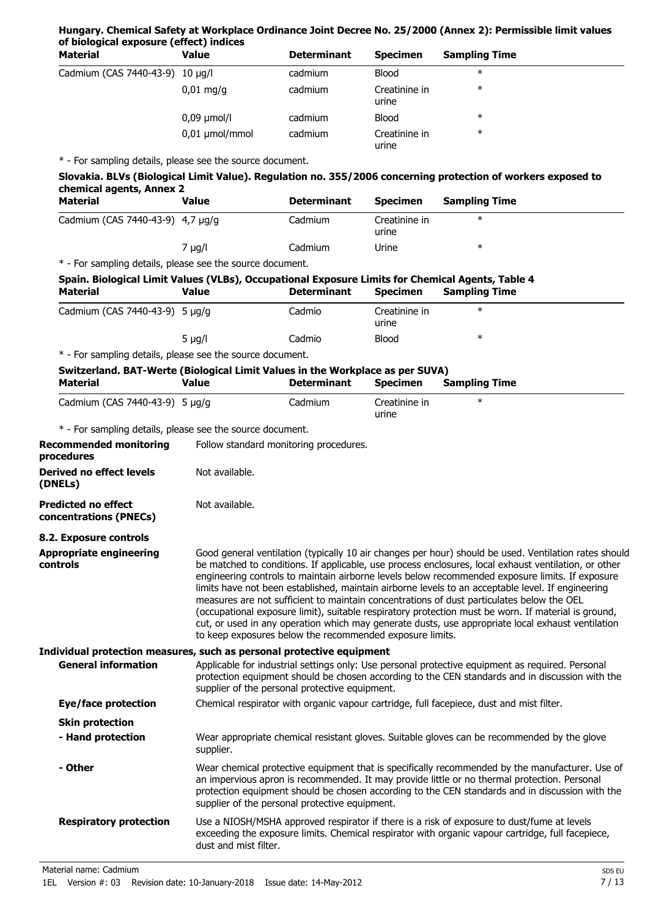### **Hungary. Chemical Safety at Workplace Ordinance Joint Decree No. 25/2000 (Annex 2): Permissible limit values of biological exposure (effect) indices**

| <b>Material</b>                 | Value                  | <b>Determinant</b> | <b>Specimen</b>        | <b>Sampling Time</b> |  |
|---------------------------------|------------------------|--------------------|------------------------|----------------------|--|
| Cadmium (CAS 7440-43-9) 10 µg/l |                        | cadmium            | <b>Blood</b>           | $\ast$               |  |
|                                 | $0,01 \,\mathrm{mg/g}$ | cadmium            | Creatinine in<br>urine | $\ast$               |  |
|                                 | $0,09 \mu$ mol/l       | cadmium            | <b>Blood</b>           | $\ast$               |  |
|                                 | $0,01 \mu$ mol/mmol    | cadmium            | Creatinine in<br>urine | $\ast$               |  |

\* - For sampling details, please see the source document.

| Slovakia. BLVs (Biological Limit Value). Regulation no. 355/2006 concerning protection of workers exposed to |  |  |  |  |  |
|--------------------------------------------------------------------------------------------------------------|--|--|--|--|--|
| chemical agents, Annex 2                                                                                     |  |  |  |  |  |
|                                                                                                              |  |  |  |  |  |

| Material                                                             | Value     | <b>Determinant</b> | <b>Specimen</b>        | <b>Sampling Time</b> |
|----------------------------------------------------------------------|-----------|--------------------|------------------------|----------------------|
| Cadmium (CAS 7440-43-9) 4,7 µg/g                                     |           | Cadmium            | Creatinine in<br>urine | ∗                    |
|                                                                      | $\mu q/l$ | Cadmium            | Urine                  | ∗                    |
| . * . Fau agus aliam plataile, pelagan ang tha partiran planting sut |           |                    |                        |                      |

| Spain. Biological Limit Values (VLBs), Occupational Exposure Limits for Chemical Agents, Table 4<br><b>Material</b> | <b>Value</b>          | <b>Determinant</b>                                       | <b>Specimen</b>        | <b>Sampling Time</b>                                                                                                                                                                                                                                                                                                                                                                                                                                                                                                                                                                                                                                                                                                           |
|---------------------------------------------------------------------------------------------------------------------|-----------------------|----------------------------------------------------------|------------------------|--------------------------------------------------------------------------------------------------------------------------------------------------------------------------------------------------------------------------------------------------------------------------------------------------------------------------------------------------------------------------------------------------------------------------------------------------------------------------------------------------------------------------------------------------------------------------------------------------------------------------------------------------------------------------------------------------------------------------------|
| Cadmium (CAS 7440-43-9) 5 µg/g                                                                                      |                       | Cadmio                                                   | Creatinine in<br>urine | $\ast$                                                                                                                                                                                                                                                                                                                                                                                                                                                                                                                                                                                                                                                                                                                         |
|                                                                                                                     | $5 \mu g/l$           | Cadmio                                                   | <b>Blood</b>           | $\ast$                                                                                                                                                                                                                                                                                                                                                                                                                                                                                                                                                                                                                                                                                                                         |
| * - For sampling details, please see the source document.                                                           |                       |                                                          |                        |                                                                                                                                                                                                                                                                                                                                                                                                                                                                                                                                                                                                                                                                                                                                |
| Switzerland. BAT-Werte (Biological Limit Values in the Workplace as per SUVA)<br><b>Material</b>                    | <b>Value</b>          | <b>Determinant</b>                                       | <b>Specimen</b>        | <b>Sampling Time</b>                                                                                                                                                                                                                                                                                                                                                                                                                                                                                                                                                                                                                                                                                                           |
| Cadmium (CAS 7440-43-9) 5 µg/g                                                                                      |                       | Cadmium                                                  | Creatinine in<br>urine | $\ast$                                                                                                                                                                                                                                                                                                                                                                                                                                                                                                                                                                                                                                                                                                                         |
| * - For sampling details, please see the source document.                                                           |                       |                                                          |                        |                                                                                                                                                                                                                                                                                                                                                                                                                                                                                                                                                                                                                                                                                                                                |
| <b>Recommended monitoring</b><br>procedures                                                                         |                       | Follow standard monitoring procedures.                   |                        |                                                                                                                                                                                                                                                                                                                                                                                                                                                                                                                                                                                                                                                                                                                                |
| <b>Derived no effect levels</b><br>(DNELs)                                                                          | Not available.        |                                                          |                        |                                                                                                                                                                                                                                                                                                                                                                                                                                                                                                                                                                                                                                                                                                                                |
| <b>Predicted no effect</b><br>concentrations (PNECs)                                                                | Not available.        |                                                          |                        |                                                                                                                                                                                                                                                                                                                                                                                                                                                                                                                                                                                                                                                                                                                                |
| 8.2. Exposure controls                                                                                              |                       |                                                          |                        |                                                                                                                                                                                                                                                                                                                                                                                                                                                                                                                                                                                                                                                                                                                                |
| <b>Appropriate engineering</b><br>controls                                                                          |                       | to keep exposures below the recommended exposure limits. |                        | Good general ventilation (typically 10 air changes per hour) should be used. Ventilation rates should<br>be matched to conditions. If applicable, use process enclosures, local exhaust ventilation, or other<br>engineering controls to maintain airborne levels below recommended exposure limits. If exposure<br>limits have not been established, maintain airborne levels to an acceptable level. If engineering<br>measures are not sufficient to maintain concentrations of dust particulates below the OEL<br>(occupational exposure limit), suitable respiratory protection must be worn. If material is ground,<br>cut, or used in any operation which may generate dusts, use appropriate local exhaust ventilation |
| Individual protection measures, such as personal protective equipment                                               |                       |                                                          |                        |                                                                                                                                                                                                                                                                                                                                                                                                                                                                                                                                                                                                                                                                                                                                |
| <b>General information</b>                                                                                          |                       | supplier of the personal protective equipment.           |                        | Applicable for industrial settings only: Use personal protective equipment as required. Personal<br>protection equipment should be chosen according to the CEN standards and in discussion with the                                                                                                                                                                                                                                                                                                                                                                                                                                                                                                                            |
| <b>Eye/face protection</b>                                                                                          |                       |                                                          |                        | Chemical respirator with organic vapour cartridge, full facepiece, dust and mist filter.                                                                                                                                                                                                                                                                                                                                                                                                                                                                                                                                                                                                                                       |
| <b>Skin protection</b>                                                                                              |                       |                                                          |                        |                                                                                                                                                                                                                                                                                                                                                                                                                                                                                                                                                                                                                                                                                                                                |
| - Hand protection                                                                                                   | supplier.             |                                                          |                        | Wear appropriate chemical resistant gloves. Suitable gloves can be recommended by the glove                                                                                                                                                                                                                                                                                                                                                                                                                                                                                                                                                                                                                                    |
| - Other                                                                                                             |                       | supplier of the personal protective equipment.           |                        | Wear chemical protective equipment that is specifically recommended by the manufacturer. Use of<br>an impervious apron is recommended. It may provide little or no thermal protection. Personal<br>protection equipment should be chosen according to the CEN standards and in discussion with the                                                                                                                                                                                                                                                                                                                                                                                                                             |
| <b>Respiratory protection</b>                                                                                       | dust and mist filter. |                                                          |                        | Use a NIOSH/MSHA approved respirator if there is a risk of exposure to dust/fume at levels<br>exceeding the exposure limits. Chemical respirator with organic vapour cartridge, full facepiece,                                                                                                                                                                                                                                                                                                                                                                                                                                                                                                                                |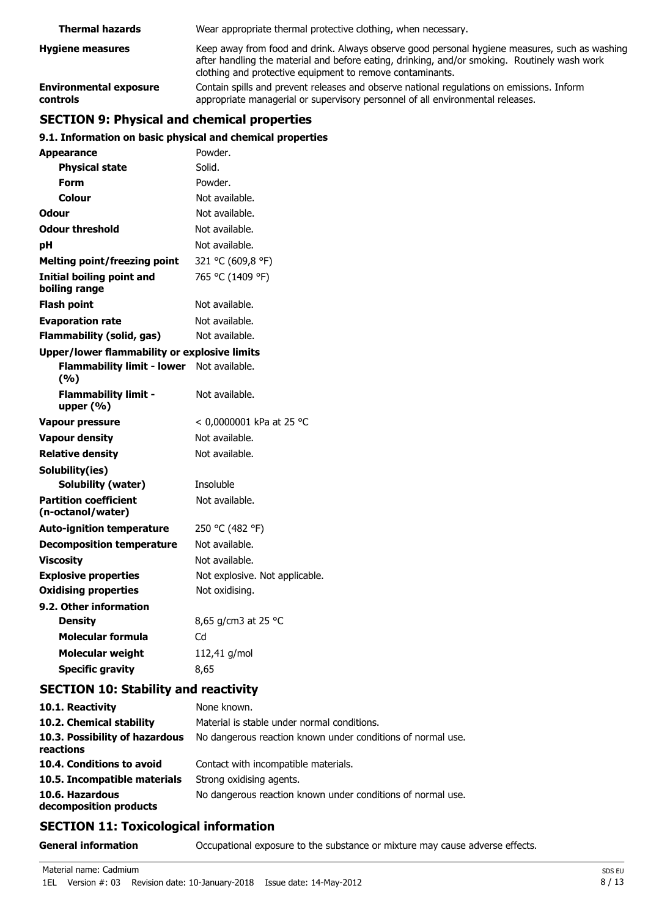| <b>Thermal hazards</b>                    | Wear appropriate thermal protective clothing, when necessary.                                                                                                                                                                                              |  |
|-------------------------------------------|------------------------------------------------------------------------------------------------------------------------------------------------------------------------------------------------------------------------------------------------------------|--|
| <b>Hygiene measures</b>                   | Keep away from food and drink. Always observe good personal hygiene measures, such as washing<br>after handling the material and before eating, drinking, and/or smoking. Routinely wash work<br>clothing and protective equipment to remove contaminants. |  |
| <b>Environmental exposure</b><br>controls | Contain spills and prevent releases and observe national regulations on emissions. Inform<br>appropriate managerial or supervisory personnel of all environmental releases.                                                                                |  |

# **SECTION 9: Physical and chemical properties**

# **9.1. Information on basic physical and chemical properties**

| Appearance                                          | Powder.                        |
|-----------------------------------------------------|--------------------------------|
| <b>Physical state</b>                               | Solid.                         |
| <b>Form</b>                                         | Powder.                        |
| Colour                                              | Not available.                 |
| Odour                                               | Not available.                 |
| <b>Odour threshold</b>                              | Not available.                 |
| pH                                                  | Not available.                 |
| <b>Melting point/freezing point</b>                 | 321 °C (609,8 °F)              |
| <b>Initial boiling point and</b><br>boiling range   | 765 °C (1409 °F)               |
| <b>Flash point</b>                                  | Not available.                 |
| <b>Evaporation rate</b>                             | Not available.                 |
| <b>Flammability (solid, gas)</b>                    | Not available.                 |
| <b>Upper/lower flammability or explosive limits</b> |                                |
| <b>Flammability limit - lower</b><br>(%)            | Not available.                 |
| <b>Flammability limit -</b><br>upper $(% )$         | Not available.                 |
| <b>Vapour pressure</b>                              | < 0,0000001 kPa at 25 °C       |
| <b>Vapour density</b>                               | Not available.                 |
| <b>Relative density</b>                             | Not available.                 |
| Solubility(ies)                                     |                                |
| Solubility (water)                                  | Insoluble                      |
| <b>Partition coefficient</b><br>(n-octanol/water)   | Not available.                 |
| <b>Auto-ignition temperature</b>                    | 250 °C (482 °F)                |
| <b>Decomposition temperature</b>                    | Not available.                 |
| <b>Viscosity</b>                                    | Not available.                 |
| <b>Explosive properties</b>                         | Not explosive. Not applicable. |
| <b>Oxidising properties</b>                         | Not oxidising.                 |
| 9.2. Other information                              |                                |
| <b>Density</b>                                      | 8,65 g/cm3 at 25 °C            |
| Molecular formula                                   | Cd                             |
| <b>Molecular weight</b>                             | 112,41 g/mol                   |
| <b>Specific gravity</b>                             | 8,65                           |

# **SECTION 10: Stability and reactivity**

| 10.1. Reactivity                            | None known.                                                 |
|---------------------------------------------|-------------------------------------------------------------|
| 10.2. Chemical stability                    | Material is stable under normal conditions.                 |
| 10.3. Possibility of hazardous<br>reactions | No dangerous reaction known under conditions of normal use. |
| 10.4. Conditions to avoid                   | Contact with incompatible materials.                        |
| 10.5. Incompatible materials                | Strong oxidising agents.                                    |
| 10.6. Hazardous<br>decomposition products   | No dangerous reaction known under conditions of normal use. |

# **SECTION 11: Toxicological information**

**General information CCCUPATION** Occupational exposure to the substance or mixture may cause adverse effects.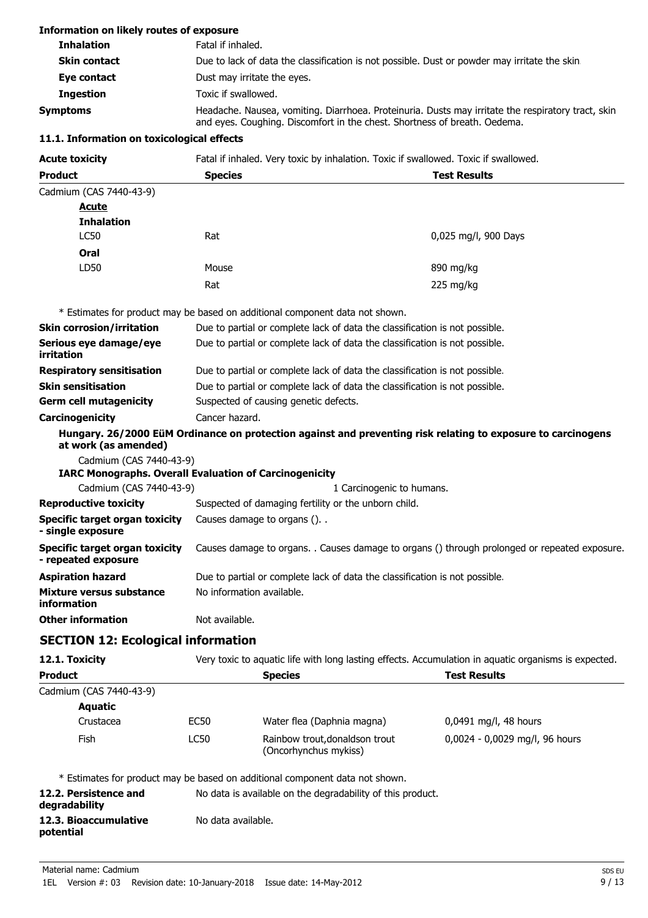#### **Information on likely routes of exposure**

| <b>Inhalation</b>   | Fatal if inhaled.                                                                                                                                                               |
|---------------------|---------------------------------------------------------------------------------------------------------------------------------------------------------------------------------|
| <b>Skin contact</b> | Due to lack of data the classification is not possible. Dust or powder may irritate the skin.                                                                                   |
| Eye contact         | Dust may irritate the eyes.                                                                                                                                                     |
| Ingestion           | Toxic if swallowed.                                                                                                                                                             |
| <b>Symptoms</b>     | Headache. Nausea, vomiting. Diarrhoea. Proteinuria. Dusts may irritate the respiratory tract, skin<br>and eyes. Coughing. Discomfort in the chest. Shortness of breath. Oedema. |

#### **11.1. Information on toxicological effects**

| <b>Acute toxicity</b>   | Fatal if inhaled. Very toxic by inhalation. Toxic if swallowed. Toxic if swallowed. |                     |  |
|-------------------------|-------------------------------------------------------------------------------------|---------------------|--|
| <b>Product</b>          | <b>Species</b>                                                                      | <b>Test Results</b> |  |
| Cadmium (CAS 7440-43-9) |                                                                                     |                     |  |
| Acute                   |                                                                                     |                     |  |

| <b>Inhalation</b> |       |                      |
|-------------------|-------|----------------------|
| LC50              | Rat   | 0,025 mg/l, 900 Days |
| Oral              |       |                      |
| LD50              | Mouse | 890 mg/kg            |
|                   | Rat   | 225 mg/kg            |
|                   |       |                      |

\* Estimates for product may be based on additional component data not shown.

| Skin corrosion/irritation            | Due to partial or complete lack of data the classification is not possible.                                  |
|--------------------------------------|--------------------------------------------------------------------------------------------------------------|
| Serious eye damage/eye<br>irritation | Due to partial or complete lack of data the classification is not possible.                                  |
| <b>Respiratory sensitisation</b>     | Due to partial or complete lack of data the classification is not possible.                                  |
| Skin sensitisation                   | Due to partial or complete lack of data the classification is not possible.                                  |
| Germ cell mutagenicity               | Suspected of causing genetic defects.                                                                        |
| Carcinogenicity                      | Cancer hazard.                                                                                               |
| at work (as amended)                 | Hungary. 26/2000 EüM Ordinance on protection against and preventing risk relating to exposure to carcinogens |
| Cadmium (CAS 7440-43-9)              |                                                                                                              |
|                                      | <b>IARC Monographs. Overall Evaluation of Carcinogenicity</b>                                                |

Cadmium (CAS 7440-43-9) 1 Carcinogenic to humans. **Reproductive toxicity** Suspected of damaging fertility or the unborn child. **Specific target organ toxicity** Causes damage to organs (). . **- single exposure Specific target organ toxicity - repeated exposure** Causes damage to organs. . Causes damage to organs () through prolonged or repeated exposure. **Aspiration hazard** Due to partial or complete lack of data the classification is not possible. **Mixture versus substance** No information available. **information Other information** Not available.

# **SECTION 12: Ecological information**

| 12.1. Toxicity          | Very toxic to aquatic life with long lasting effects. Accumulation in aquatic organisms is expected. |                                                                              |                                |  |
|-------------------------|------------------------------------------------------------------------------------------------------|------------------------------------------------------------------------------|--------------------------------|--|
| <b>Product</b>          | <b>Species</b>                                                                                       |                                                                              | Test Results                   |  |
| Cadmium (CAS 7440-43-9) |                                                                                                      |                                                                              |                                |  |
| <b>Aquatic</b>          |                                                                                                      |                                                                              |                                |  |
| Crustacea               | EC50                                                                                                 | Water flea (Daphnia magna)                                                   | 0,0491 mg/l, 48 hours          |  |
| Fish                    | <b>LC50</b>                                                                                          | Rainbow trout, donaldson trout<br>(Oncorhynchus mykiss)                      | 0,0024 - 0,0029 mg/l, 96 hours |  |
|                         |                                                                                                      | * Estimates for product may be based on additional component data not shown. |                                |  |

**12.2. Persistence and** No data is available on the degradability of this product. **degradability 12.3. Bioaccumulative** No data available. **potential**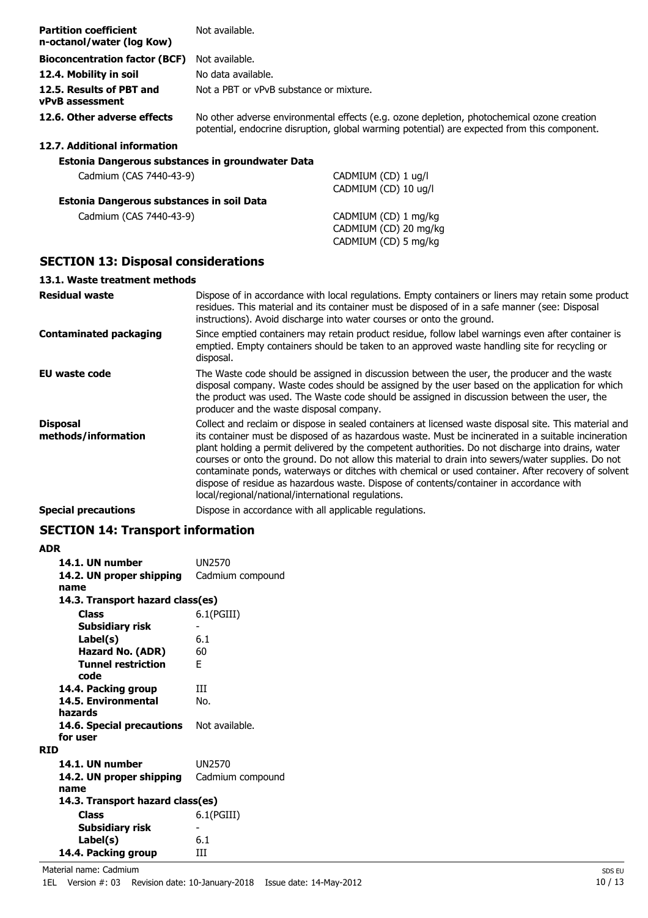| <b>Partition coefficient</b><br>n-octanol/water (log Kow) | Not available.                                                                                                                                                                                                                                                                                                                                                                                                                                                                                                                                                                                                                                                                    |  |  |
|-----------------------------------------------------------|-----------------------------------------------------------------------------------------------------------------------------------------------------------------------------------------------------------------------------------------------------------------------------------------------------------------------------------------------------------------------------------------------------------------------------------------------------------------------------------------------------------------------------------------------------------------------------------------------------------------------------------------------------------------------------------|--|--|
| <b>Bioconcentration factor (BCF)</b>                      | Not available.                                                                                                                                                                                                                                                                                                                                                                                                                                                                                                                                                                                                                                                                    |  |  |
| 12.4. Mobility in soil                                    | No data available.                                                                                                                                                                                                                                                                                                                                                                                                                                                                                                                                                                                                                                                                |  |  |
| 12.5. Results of PBT and<br>vPvB assessment               | Not a PBT or vPvB substance or mixture.                                                                                                                                                                                                                                                                                                                                                                                                                                                                                                                                                                                                                                           |  |  |
| 12.6. Other adverse effects                               | No other adverse environmental effects (e.g. ozone depletion, photochemical ozone creation<br>potential, endocrine disruption, global warming potential) are expected from this component.                                                                                                                                                                                                                                                                                                                                                                                                                                                                                        |  |  |
| 12.7. Additional information                              |                                                                                                                                                                                                                                                                                                                                                                                                                                                                                                                                                                                                                                                                                   |  |  |
| Estonia Dangerous substances in groundwater Data          |                                                                                                                                                                                                                                                                                                                                                                                                                                                                                                                                                                                                                                                                                   |  |  |
| Cadmium (CAS 7440-43-9)                                   | CADMIUM (CD) 1 ug/l<br>CADMIUM (CD) 10 ug/l                                                                                                                                                                                                                                                                                                                                                                                                                                                                                                                                                                                                                                       |  |  |
| Estonia Dangerous substances in soil Data                 |                                                                                                                                                                                                                                                                                                                                                                                                                                                                                                                                                                                                                                                                                   |  |  |
| Cadmium (CAS 7440-43-9)                                   | CADMIUM (CD) 1 mg/kg<br>CADMIUM (CD) 20 mg/kg<br>CADMIUM (CD) 5 mg/kg                                                                                                                                                                                                                                                                                                                                                                                                                                                                                                                                                                                                             |  |  |
| <b>SECTION 13: Disposal considerations</b>                |                                                                                                                                                                                                                                                                                                                                                                                                                                                                                                                                                                                                                                                                                   |  |  |
| 13.1. Waste treatment methods                             |                                                                                                                                                                                                                                                                                                                                                                                                                                                                                                                                                                                                                                                                                   |  |  |
| <b>Residual waste</b>                                     | Dispose of in accordance with local regulations. Empty containers or liners may retain some product<br>residues. This material and its container must be disposed of in a safe manner (see: Disposal<br>instructions). Avoid discharge into water courses or onto the ground.                                                                                                                                                                                                                                                                                                                                                                                                     |  |  |
| <b>Contaminated packaging</b>                             | Since emptied containers may retain product residue, follow label warnings even after container is<br>emptied. Empty containers should be taken to an approved waste handling site for recycling or<br>disposal.                                                                                                                                                                                                                                                                                                                                                                                                                                                                  |  |  |
| <b>EU waste code</b>                                      | The Waste code should be assigned in discussion between the user, the producer and the waste<br>disposal company. Waste codes should be assigned by the user based on the application for which<br>the product was used. The Waste code should be assigned in discussion between the user, the<br>producer and the waste disposal company.                                                                                                                                                                                                                                                                                                                                        |  |  |
| <b>Disposal</b><br>methods/information                    | Collect and reclaim or dispose in sealed containers at licensed waste disposal site. This material and<br>its container must be disposed of as hazardous waste. Must be incinerated in a suitable incineration<br>plant holding a permit delivered by the competent authorities. Do not discharge into drains, water<br>courses or onto the ground. Do not allow this material to drain into sewers/water supplies. Do not<br>contaminate ponds, waterways or ditches with chemical or used container. After recovery of solvent<br>dispose of residue as hazardous waste. Dispose of contents/container in accordance with<br>local/regional/national/international regulations. |  |  |

**Special precautions** Dispose in accordance with all applicable regulations.

# **SECTION 14: Transport information**

| <b>ADR</b>                       |                  |
|----------------------------------|------------------|
| 14.1. UN number                  | <b>UN2570</b>    |
| 14.2. UN proper shipping         | Cadmium compound |
| name                             |                  |
| 14.3. Transport hazard class(es) |                  |
| <b>Class</b>                     | $6.1$ (PGIII)    |
| Subsidiary risk                  |                  |
| Label(s)                         | 6.1              |
| <b>Hazard No. (ADR)</b>          | 60               |
| <b>Tunnel restriction</b>        | F                |
| code                             |                  |
| 14.4. Packing group              | ш                |
| 14.5. Environmental              | No.              |
| hazards                          |                  |
| 14.6. Special precautions        | Not available.   |
| for user                         |                  |
| RID                              |                  |
| 14.1. UN number                  | <b>UN2570</b>    |
| 14.2. UN proper shipping         | Cadmium compound |
| name                             |                  |
| 14.3. Transport hazard class(es) |                  |
| <b>Class</b>                     | $6.1$ (PGIII)    |
| <b>Subsidiary risk</b>           |                  |
| Label(s)                         | 6.1              |
| 14.4. Packing group              | ш                |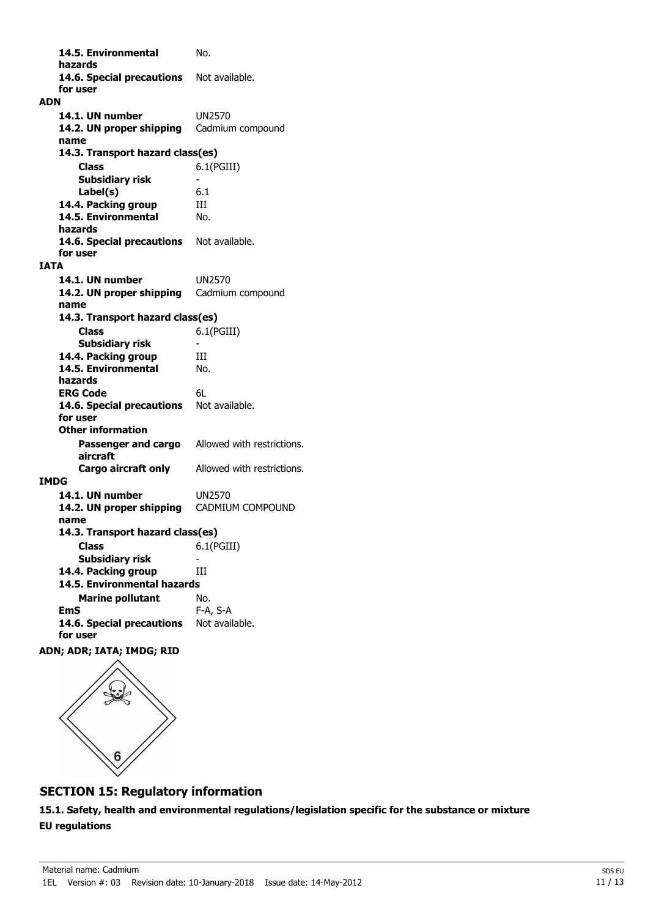**14.5. Environmental** No. **hazards** 14.6. Special precautions Not available. **for user ADN 14.1. UN number** UN2570 14.2. UN proper shipping Cadmium compound **name Class** 6.1(PGIII) **14.3. Transport hazard class(es) Subsidiary risk Label(s)** 6.1 **14.4. Packing group III 14.5. Environmental** No. **hazards** 14.6. Special precautions Not available. **for user IATA 14.1. UN number** UN2570 14.2. UN proper shipping Cadmium compound **name Class** 6.1(PGIII) **14.3. Transport hazard class(es) Subsidiary risk** 14.4. Packing group **III 14.5. Environmental** No. **hazards ERG Code** 6L 14.6. Special precautions Not available. **for user Passenger and cargo** Allowed with restrictions. **aircraft Other information Cargo aircraft only** Allowed with restrictions. **IMDG 14.1. UN number** UN2570 **14.2. UN proper shipping** CADMIUM COMPOUND **name Class** 6.1(PGIII) **14.3. Transport hazard class(es) Subsidiary risk 14.4. Packing group III Marine pollutant** No. **14.5. Environmental hazards EmS** F-A, S-A 14.6. Special precautions Not available.

**ADN; ADR; IATA; IMDG; RID**

**for user**



# **SECTION 15: Regulatory information**

**15.1. Safety, health and environmental regulations/legislation specific for the substance or mixture EU regulations**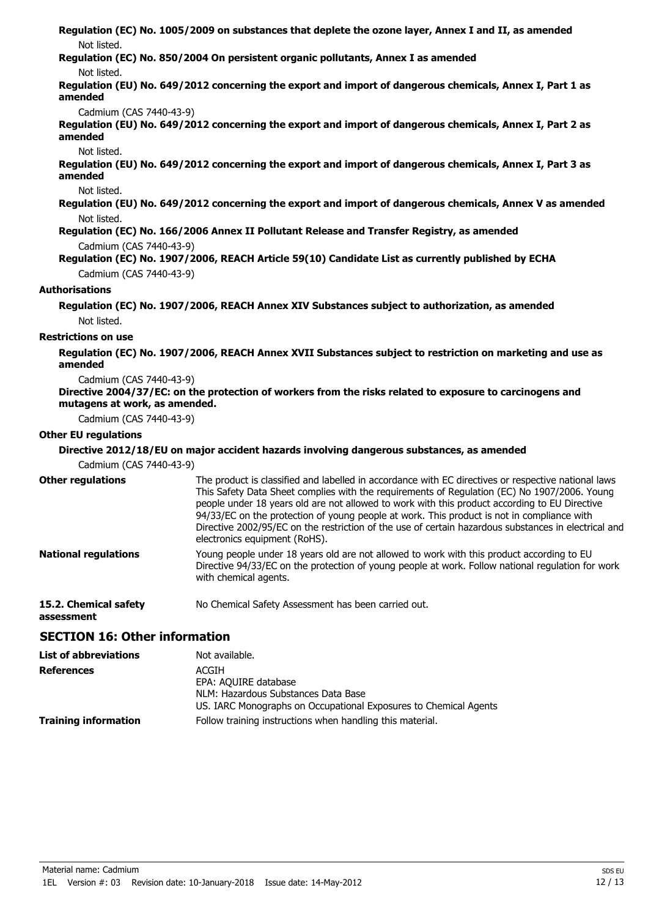**Regulation (EC) No. 1005/2009 on substances that deplete the ozone layer, Annex I and II, as amended** Not listed.

**Regulation (EC) No. 850/2004 On persistent organic pollutants, Annex I as amended**

### Not listed.

**Regulation (EU) No. 649/2012 concerning the export and import of dangerous chemicals, Annex I, Part 1 as amended**

Cadmium (CAS 7440-43-9)

**Regulation (EU) No. 649/2012 concerning the export and import of dangerous chemicals, Annex I, Part 2 as amended**

#### Not listed.

**Regulation (EU) No. 649/2012 concerning the export and import of dangerous chemicals, Annex I, Part 3 as amended**

#### Not listed.

**Regulation (EU) No. 649/2012 concerning the export and import of dangerous chemicals, Annex V as amended** Not listed.

**Regulation (EC) No. 166/2006 Annex II Pollutant Release and Transfer Registry, as amended**

Cadmium (CAS 7440-43-9)

**Regulation (EC) No. 1907/2006, REACH Article 59(10) Candidate List as currently published by ECHA** Cadmium (CAS 7440-43-9)

### **Authorisations**

**Regulation (EC) No. 1907/2006, REACH Annex XIV Substances subject to authorization, as amended** Not listed.

### **Restrictions on use**

**Regulation (EC) No. 1907/2006, REACH Annex XVII Substances subject to restriction on marketing and use as amended**

#### Cadmium (CAS 7440-43-9)

**Directive 2004/37/EC: on the protection of workers from the risks related to exposure to carcinogens and mutagens at work, as amended.**

Cadmium (CAS 7440-43-9)

# **Other EU regulations**

**assessment**

### **Directive 2012/18/EU on major accident hazards involving dangerous substances, as amended**

Cadmium (CAS 7440-43-9)

| <b>Other regulations</b>    | The product is classified and labelled in accordance with EC directives or respective national laws.<br>This Safety Data Sheet complies with the requirements of Regulation (EC) No 1907/2006. Young<br>people under 18 years old are not allowed to work with this product according to EU Directive<br>94/33/EC on the protection of young people at work. This product is not in compliance with<br>Directive 2002/95/EC on the restriction of the use of certain hazardous substances in electrical and<br>electronics equipment (RoHS). |
|-----------------------------|----------------------------------------------------------------------------------------------------------------------------------------------------------------------------------------------------------------------------------------------------------------------------------------------------------------------------------------------------------------------------------------------------------------------------------------------------------------------------------------------------------------------------------------------|
| <b>National regulations</b> | Young people under 18 years old are not allowed to work with this product according to EU<br>Directive 94/33/EC on the protection of young people at work. Follow national regulation for work<br>with chemical agents.                                                                                                                                                                                                                                                                                                                      |
| 15.2. Chemical safety       | No Chemical Safety Assessment has been carried out.                                                                                                                                                                                                                                                                                                                                                                                                                                                                                          |

# **SECTION 16: Other information**

| <b>List of abbreviations</b> | Not available.                                                                                          |
|------------------------------|---------------------------------------------------------------------------------------------------------|
| <b>References</b>            | ACGIH<br>EPA: AQUIRE database                                                                           |
|                              | NLM: Hazardous Substances Data Base<br>US. IARC Monographs on Occupational Exposures to Chemical Agents |
| <b>Training information</b>  | Follow training instructions when handling this material.                                               |